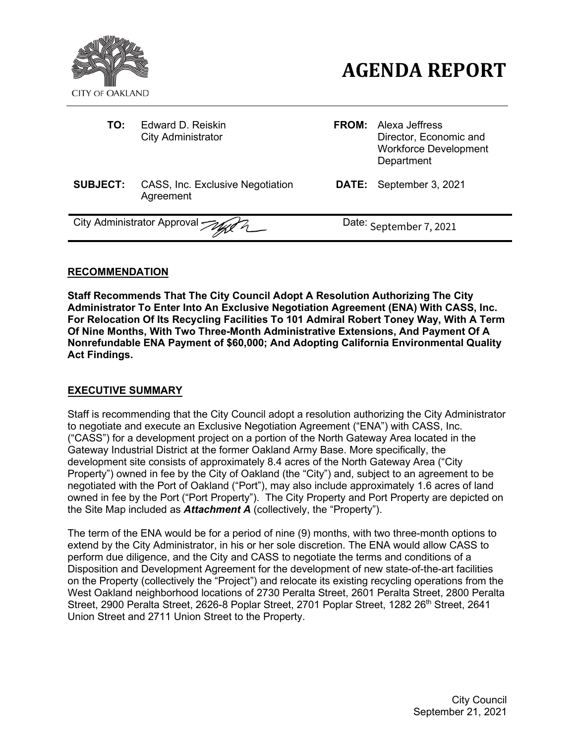

- **TO:** Edward D. Reiskin **FROM:** Alexa Jeffress
- Director, Economic and Workforce Development **Department**
- **SUBJECT:** CASS, Inc. Exclusive Negotiation Agreement

**DATE:** September 3, 2021

City Administrator Approval -

Date: September 7, 2021

# **RECOMMENDATION**

**Staff Recommends That The City Council Adopt A Resolution Authorizing The City Administrator To Enter Into An Exclusive Negotiation Agreement (ENA) With CASS, Inc. For Relocation Of Its Recycling Facilities To 101 Admiral Robert Toney Way, With A Term Of Nine Months, With Two Three-Month Administrative Extensions, And Payment Of A Nonrefundable ENA Payment of \$60,000; And Adopting California Environmental Quality Act Findings.** 

# **EXECUTIVE SUMMARY**

Staff is recommending that the City Council adopt a resolution authorizing the City Administrator to negotiate and execute an Exclusive Negotiation Agreement ("ENA") with CASS, Inc. ("CASS") for a development project on a portion of the North Gateway Area located in the Gateway Industrial District at the former Oakland Army Base. More specifically, the development site consists of approximately 8.4 acres of the North Gateway Area ("City Property") owned in fee by the City of Oakland (the "City") and, subject to an agreement to be negotiated with the Port of Oakland ("Port"), may also include approximately 1.6 acres of land owned in fee by the Port ("Port Property"). The City Property and Port Property are depicted on the Site Map included as *Attachment A* (collectively, the "Property").

The term of the ENA would be for a period of nine (9) months, with two three-month options to extend by the City Administrator, in his or her sole discretion. The ENA would allow CASS to perform due diligence, and the City and CASS to negotiate the terms and conditions of a Disposition and Development Agreement for the development of new state-of-the-art facilities on the Property (collectively the "Project") and relocate its existing recycling operations from the West Oakland neighborhood locations of 2730 Peralta Street, 2601 Peralta Street, 2800 Peralta Street, 2900 Peralta Street, 2626-8 Poplar Street, 2701 Poplar Street, 1282 26<sup>th</sup> Street, 2641 Union Street and 2711 Union Street to the Property.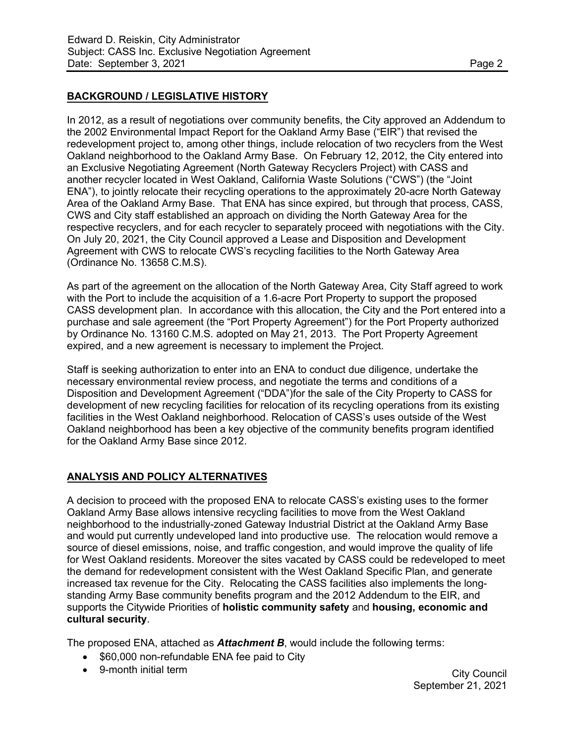# **BACKGROUND / LEGISLATIVE HISTORY**

In 2012, as a result of negotiations over community benefits, the City approved an Addendum to the 2002 Environmental Impact Report for the Oakland Army Base ("EIR") that revised the redevelopment project to, among other things, include relocation of two recyclers from the West Oakland neighborhood to the Oakland Army Base. On February 12, 2012, the City entered into an Exclusive Negotiating Agreement (North Gateway Recyclers Project) with CASS and another recycler located in West Oakland, California Waste Solutions ("CWS") (the "Joint ENA"), to jointly relocate their recycling operations to the approximately 20-acre North Gateway Area of the Oakland Army Base. That ENA has since expired, but through that process, CASS, CWS and City staff established an approach on dividing the North Gateway Area for the respective recyclers, and for each recycler to separately proceed with negotiations with the City. On July 20, 2021, the City Council approved a Lease and Disposition and Development Agreement with CWS to relocate CWS's recycling facilities to the North Gateway Area (Ordinance No. 13658 C.M.S).

As part of the agreement on the allocation of the North Gateway Area, City Staff agreed to work with the Port to include the acquisition of a 1.6-acre Port Property to support the proposed CASS development plan. In accordance with this allocation, the City and the Port entered into a purchase and sale agreement (the "Port Property Agreement") for the Port Property authorized by Ordinance No. 13160 C.M.S. adopted on May 21, 2013. The Port Property Agreement expired, and a new agreement is necessary to implement the Project.

Staff is seeking authorization to enter into an ENA to conduct due diligence, undertake the necessary environmental review process, and negotiate the terms and conditions of a Disposition and Development Agreement ("DDA")for the sale of the City Property to CASS for development of new recycling facilities for relocation of its recycling operations from its existing facilities in the West Oakland neighborhood. Relocation of CASS's uses outside of the West Oakland neighborhood has been a key objective of the community benefits program identified for the Oakland Army Base since 2012.

# **ANALYSIS AND POLICY ALTERNATIVES**

A decision to proceed with the proposed ENA to relocate CASS's existing uses to the former Oakland Army Base allows intensive recycling facilities to move from the West Oakland neighborhood to the industrially-zoned Gateway Industrial District at the Oakland Army Base and would put currently undeveloped land into productive use. The relocation would remove a source of diesel emissions, noise, and traffic congestion, and would improve the quality of life for West Oakland residents. Moreover the sites vacated by CASS could be redeveloped to meet the demand for redevelopment consistent with the West Oakland Specific Plan, and generate increased tax revenue for the City. Relocating the CASS facilities also implements the longstanding Army Base community benefits program and the 2012 Addendum to the EIR, and supports the Citywide Priorities of **holistic community safety** and **housing, economic and cultural security**.

The proposed ENA, attached as *Attachment B*, would include the following terms:

- \$60,000 non-refundable ENA fee paid to City
- 9-month initial term

City Council September 21, 2021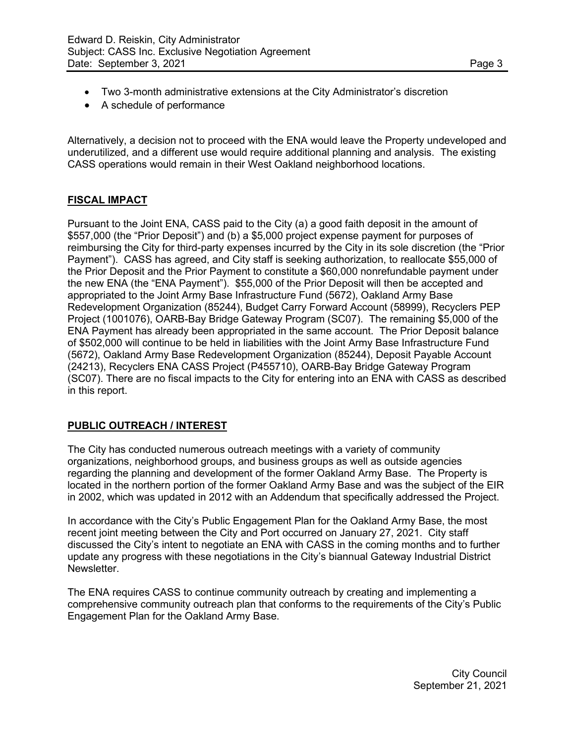- Two 3-month administrative extensions at the City Administrator's discretion
- A schedule of performance

Alternatively, a decision not to proceed with the ENA would leave the Property undeveloped and underutilized, and a different use would require additional planning and analysis. The existing CASS operations would remain in their West Oakland neighborhood locations.

### **FISCAL IMPACT**

Pursuant to the Joint ENA, CASS paid to the City (a) a good faith deposit in the amount of \$557,000 (the "Prior Deposit") and (b) a \$5,000 project expense payment for purposes of reimbursing the City for third-party expenses incurred by the City in its sole discretion (the "Prior Payment"). CASS has agreed, and City staff is seeking authorization, to reallocate \$55,000 of the Prior Deposit and the Prior Payment to constitute a \$60,000 nonrefundable payment under the new ENA (the "ENA Payment"). \$55,000 of the Prior Deposit will then be accepted and appropriated to the Joint Army Base Infrastructure Fund (5672), Oakland Army Base Redevelopment Organization (85244), Budget Carry Forward Account (58999), Recyclers PEP Project (1001076), OARB-Bay Bridge Gateway Program (SC07). The remaining \$5,000 of the ENA Payment has already been appropriated in the same account. The Prior Deposit balance of \$502,000 will continue to be held in liabilities with the Joint Army Base Infrastructure Fund (5672), Oakland Army Base Redevelopment Organization (85244), Deposit Payable Account (24213), Recyclers ENA CASS Project (P455710), OARB-Bay Bridge Gateway Program (SC07). There are no fiscal impacts to the City for entering into an ENA with CASS as described in this report.

# **PUBLIC OUTREACH / INTEREST**

The City has conducted numerous outreach meetings with a variety of community organizations, neighborhood groups, and business groups as well as outside agencies regarding the planning and development of the former Oakland Army Base. The Property is located in the northern portion of the former Oakland Army Base and was the subject of the EIR in 2002, which was updated in 2012 with an Addendum that specifically addressed the Project.

In accordance with the City's Public Engagement Plan for the Oakland Army Base, the most recent joint meeting between the City and Port occurred on January 27, 2021. City staff discussed the City's intent to negotiate an ENA with CASS in the coming months and to further update any progress with these negotiations in the City's biannual Gateway Industrial District Newsletter.

The ENA requires CASS to continue community outreach by creating and implementing a comprehensive community outreach plan that conforms to the requirements of the City's Public Engagement Plan for the Oakland Army Base.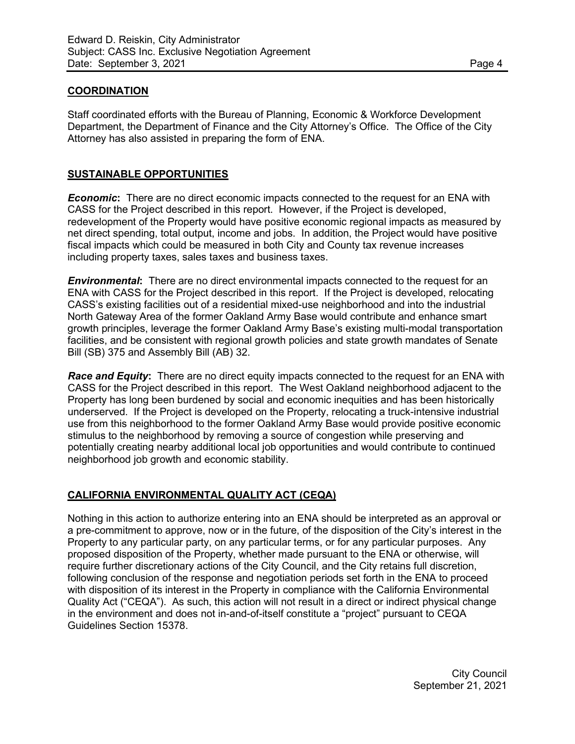### **COORDINATION**

Staff coordinated efforts with the Bureau of Planning, Economic & Workforce Development Department, the Department of Finance and the City Attorney's Office. The Office of the City Attorney has also assisted in preparing the form of ENA.

#### **SUSTAINABLE OPPORTUNITIES**

*Economic***:** There are no direct economic impacts connected to the request for an ENA with CASS for the Project described in this report. However, if the Project is developed, redevelopment of the Property would have positive economic regional impacts as measured by net direct spending, total output, income and jobs. In addition, the Project would have positive fiscal impacts which could be measured in both City and County tax revenue increases including property taxes, sales taxes and business taxes.

*Environmental*: There are no direct environmental impacts connected to the request for an ENA with CASS for the Project described in this report. If the Project is developed, relocating CASS's existing facilities out of a residential mixed-use neighborhood and into the industrial North Gateway Area of the former Oakland Army Base would contribute and enhance smart growth principles, leverage the former Oakland Army Base's existing multi-modal transportation facilities, and be consistent with regional growth policies and state growth mandates of Senate Bill (SB) 375 and Assembly Bill (AB) 32.

*Race and Equity*: There are no direct equity impacts connected to the request for an ENA with CASS for the Project described in this report. The West Oakland neighborhood adjacent to the Property has long been burdened by social and economic inequities and has been historically underserved. If the Project is developed on the Property, relocating a truck-intensive industrial use from this neighborhood to the former Oakland Army Base would provide positive economic stimulus to the neighborhood by removing a source of congestion while preserving and potentially creating nearby additional local job opportunities and would contribute to continued neighborhood job growth and economic stability.

### **CALIFORNIA ENVIRONMENTAL QUALITY ACT (CEQA)**

Nothing in this action to authorize entering into an ENA should be interpreted as an approval or a pre-commitment to approve, now or in the future, of the disposition of the City's interest in the Property to any particular party, on any particular terms, or for any particular purposes. Any proposed disposition of the Property, whether made pursuant to the ENA or otherwise, will require further discretionary actions of the City Council, and the City retains full discretion, following conclusion of the response and negotiation periods set forth in the ENA to proceed with disposition of its interest in the Property in compliance with the California Environmental Quality Act ("CEQA"). As such, this action will not result in a direct or indirect physical change in the environment and does not in-and-of-itself constitute a "project" pursuant to CEQA Guidelines Section 15378.

City Council September 21, 2021